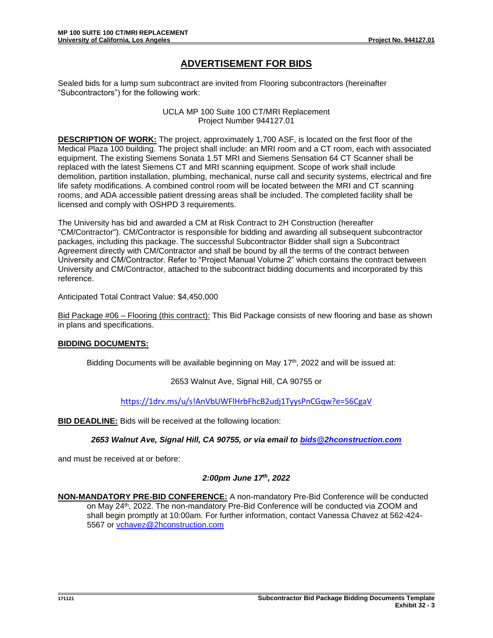# **ADVERTISEMENT FOR BIDS**

Sealed bids for a lump sum subcontract are invited from Flooring subcontractors (hereinafter "Subcontractors") for the following work:

> UCLA MP 100 Suite 100 CT/MRI Replacement Project Number 944127.01

**DESCRIPTION OF WORK:** The project, approximately 1,700 ASF, is located on the first floor of the Medical Plaza 100 building. The project shall include: an MRI room and a CT room, each with associated equipment. The existing Siemens Sonata 1.5T MRI and Siemens Sensation 64 CT Scanner shall be replaced with the latest Siemens CT and MRI scanning equipment. Scope of work shall include demolition, partition installation, plumbing, mechanical, nurse call and security systems, electrical and fire life safety modifications. A combined control room will be located between the MRI and CT scanning rooms, and ADA accessible patient dressing areas shall be included. The completed facility shall be licensed and comply with OSHPD 3 requirements.

The University has bid and awarded a CM at Risk Contract to 2H Construction (hereafter "CM/Contractor"). CM/Contractor is responsible for bidding and awarding all subsequent subcontractor packages, including this package. The successful Subcontractor Bidder shall sign a Subcontract Agreement directly with CM/Contractor and shall be bound by all the terms of the contract between University and CM/Contractor. Refer to "Project Manual Volume 2" which contains the contract between University and CM/Contractor, attached to the subcontract bidding documents and incorporated by this reference.

Anticipated Total Contract Value: \$4,450,000

Bid Package #06 – Flooring (this contract): This Bid Package consists of new flooring and base as shown in plans and specifications.

## **BIDDING DOCUMENTS:**

Bidding Documents will be available beginning on May  $17<sup>th</sup>$ , 2022 and will be issued at:

#### 2653 Walnut Ave, Signal Hill, CA 90755 or

<https://1drv.ms/u/s!AnVbUWFlHrbFhcB2udj1TyysPnCGqw?e=56CgaV>

**BID DEADLINE:** Bids will be received at the following location:

*2653 Walnut Ave, Signal Hill, CA 90755, or via email to [bids@2hconstruction.com](mailto:bids@2hconstruction.com)*

and must be received at or before:

## *2:00pm June 17th, 2022*

**NON-MANDATORY PRE-BID CONFERENCE:** A non-mandatory Pre-Bid Conference will be conducted on May 24<sup>th</sup>, 2022. The non-mandatory Pre-Bid Conference will be conducted via ZOOM and shall begin promptly at 10:00am*.* For further information, contact Vanessa Chavez at 562-424- 5567 or [vchavez@2hconstruction.com](mailto:vchavez@2hconstruction.com)